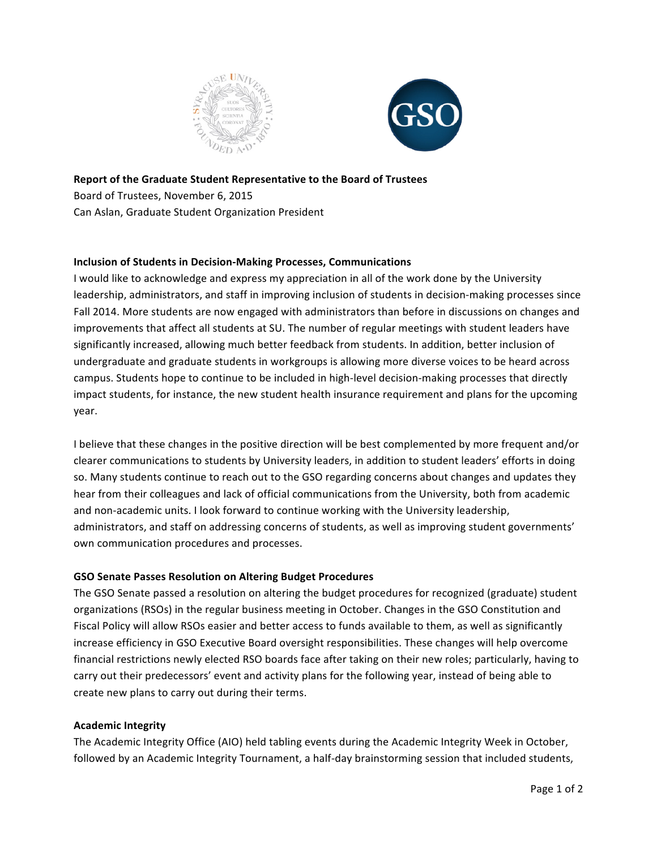



# **Report of the Graduate Student Representative to the Board of Trustees** Board of Trustees, November 6, 2015

Can Aslan, Graduate Student Organization President

# **Inclusion of Students in Decision-Making Processes, Communications**

I would like to acknowledge and express my appreciation in all of the work done by the University leadership, administrators, and staff in improving inclusion of students in decision-making processes since Fall 2014. More students are now engaged with administrators than before in discussions on changes and improvements that affect all students at SU. The number of regular meetings with student leaders have significantly increased, allowing much better feedback from students. In addition, better inclusion of undergraduate and graduate students in workgroups is allowing more diverse voices to be heard across campus. Students hope to continue to be included in high-level decision-making processes that directly impact students, for instance, the new student health insurance requirement and plans for the upcoming year.

I believe that these changes in the positive direction will be best complemented by more frequent and/or clearer communications to students by University leaders, in addition to student leaders' efforts in doing so. Many students continue to reach out to the GSO regarding concerns about changes and updates they hear from their colleagues and lack of official communications from the University, both from academic and non-academic units. I look forward to continue working with the University leadership, administrators, and staff on addressing concerns of students, as well as improving student governments' own communication procedures and processes.

# **GSO Senate Passes Resolution on Altering Budget Procedures**

The GSO Senate passed a resolution on altering the budget procedures for recognized (graduate) student organizations (RSOs) in the regular business meeting in October. Changes in the GSO Constitution and Fiscal Policy will allow RSOs easier and better access to funds available to them, as well as significantly increase efficiency in GSO Executive Board oversight responsibilities. These changes will help overcome financial restrictions newly elected RSO boards face after taking on their new roles; particularly, having to carry out their predecessors' event and activity plans for the following year, instead of being able to create new plans to carry out during their terms.

### **Academic Integrity**

The Academic Integrity Office (AIO) held tabling events during the Academic Integrity Week in October, followed by an Academic Integrity Tournament, a half-day brainstorming session that included students,